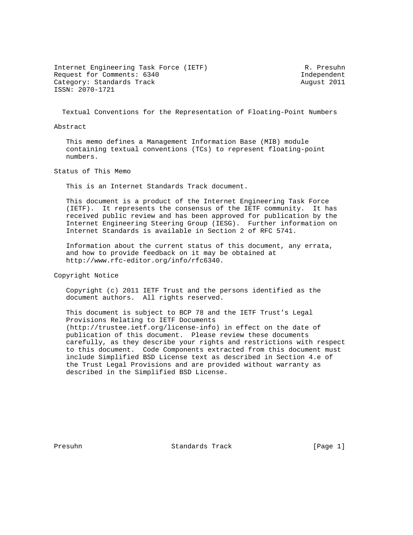Internet Engineering Task Force (IETF) R. Presuhn Request for Comments: 6340 Independent Category: Standards Track August 2011 ISSN: 2070-1721

Textual Conventions for the Representation of Floating-Point Numbers

Abstract

 This memo defines a Management Information Base (MIB) module containing textual conventions (TCs) to represent floating-point numbers.

Status of This Memo

This is an Internet Standards Track document.

 This document is a product of the Internet Engineering Task Force (IETF). It represents the consensus of the IETF community. It has received public review and has been approved for publication by the Internet Engineering Steering Group (IESG). Further information on Internet Standards is available in Section 2 of RFC 5741.

 Information about the current status of this document, any errata, and how to provide feedback on it may be obtained at http://www.rfc-editor.org/info/rfc6340.

Copyright Notice

 Copyright (c) 2011 IETF Trust and the persons identified as the document authors. All rights reserved.

 This document is subject to BCP 78 and the IETF Trust's Legal Provisions Relating to IETF Documents (http://trustee.ietf.org/license-info) in effect on the date of publication of this document. Please review these documents carefully, as they describe your rights and restrictions with respect to this document. Code Components extracted from this document must include Simplified BSD License text as described in Section 4.e of the Trust Legal Provisions and are provided without warranty as described in the Simplified BSD License.

Presuhn Standards Track [Page 1]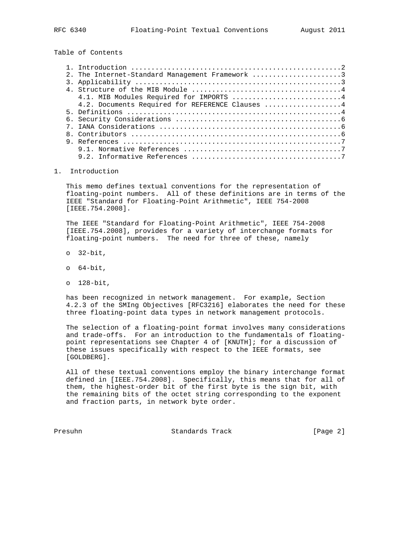Table of Contents

|  | 2. The Internet-Standard Management Framework 3 |  |
|--|-------------------------------------------------|--|
|  |                                                 |  |
|  |                                                 |  |
|  | 4.1. MIB Modules Required for IMPORTS  4        |  |
|  | 4.2. Documents Required for REFERENCE Clauses 4 |  |
|  |                                                 |  |
|  |                                                 |  |
|  |                                                 |  |
|  |                                                 |  |
|  |                                                 |  |
|  |                                                 |  |
|  |                                                 |  |
|  |                                                 |  |

## 1. Introduction

 This memo defines textual conventions for the representation of floating-point numbers. All of these definitions are in terms of the IEEE "Standard for Floating-Point Arithmetic", IEEE 754-2008 [IEEE.754.2008].

 The IEEE "Standard for Floating-Point Arithmetic", IEEE 754-2008 [IEEE.754.2008], provides for a variety of interchange formats for floating-point numbers. The need for three of these, namely

- o 32-bit,
- o 64-bit,
- o 128-bit,

 has been recognized in network management. For example, Section 4.2.3 of the SMIng Objectives [RFC3216] elaborates the need for these three floating-point data types in network management protocols.

 The selection of a floating-point format involves many considerations and trade-offs. For an introduction to the fundamentals of floating point representations see Chapter 4 of [KNUTH]; for a discussion of these issues specifically with respect to the IEEE formats, see [GOLDBERG].

 All of these textual conventions employ the binary interchange format defined in [IEEE.754.2008]. Specifically, this means that for all of them, the highest-order bit of the first byte is the sign bit, with the remaining bits of the octet string corresponding to the exponent and fraction parts, in network byte order.

Presuhn Standards Track [Page 2]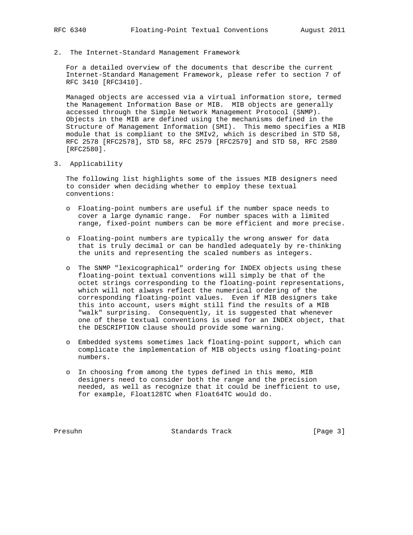## 2. The Internet-Standard Management Framework

 For a detailed overview of the documents that describe the current Internet-Standard Management Framework, please refer to section 7 of RFC 3410 [RFC3410].

 Managed objects are accessed via a virtual information store, termed the Management Information Base or MIB. MIB objects are generally accessed through the Simple Network Management Protocol (SNMP). Objects in the MIB are defined using the mechanisms defined in the Structure of Management Information (SMI). This memo specifies a MIB module that is compliant to the SMIv2, which is described in STD 58, RFC 2578 [RFC2578], STD 58, RFC 2579 [RFC2579] and STD 58, RFC 2580 [RFC2580].

3. Applicability

 The following list highlights some of the issues MIB designers need to consider when deciding whether to employ these textual conventions:

- o Floating-point numbers are useful if the number space needs to cover a large dynamic range. For number spaces with a limited range, fixed-point numbers can be more efficient and more precise.
- o Floating-point numbers are typically the wrong answer for data that is truly decimal or can be handled adequately by re-thinking the units and representing the scaled numbers as integers.
- o The SNMP "lexicographical" ordering for INDEX objects using these floating-point textual conventions will simply be that of the octet strings corresponding to the floating-point representations, which will not always reflect the numerical ordering of the corresponding floating-point values. Even if MIB designers take this into account, users might still find the results of a MIB "walk" surprising. Consequently, it is suggested that whenever one of these textual conventions is used for an INDEX object, that the DESCRIPTION clause should provide some warning.
- o Embedded systems sometimes lack floating-point support, which can complicate the implementation of MIB objects using floating-point numbers.
- o In choosing from among the types defined in this memo, MIB designers need to consider both the range and the precision needed, as well as recognize that it could be inefficient to use, for example, Float128TC when Float64TC would do.

Presuhn Standards Track [Page 3]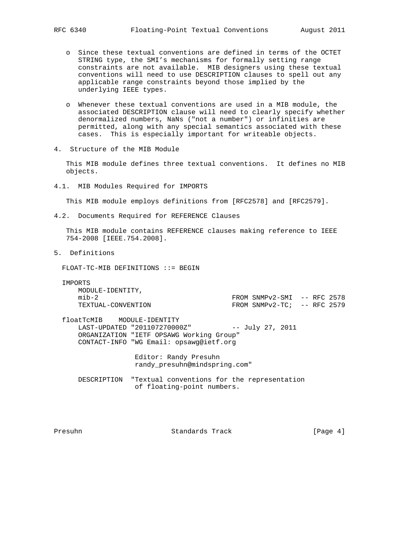- o Since these textual conventions are defined in terms of the OCTET STRING type, the SMI's mechanisms for formally setting range constraints are not available. MIB designers using these textual conventions will need to use DESCRIPTION clauses to spell out any applicable range constraints beyond those implied by the underlying IEEE types.
- o Whenever these textual conventions are used in a MIB module, the associated DESCRIPTION clause will need to clearly specify whether denormalized numbers, NaNs ("not a number") or infinities are permitted, along with any special semantics associated with these cases. This is especially important for writeable objects.
- 4. Structure of the MIB Module

 This MIB module defines three textual conventions. It defines no MIB objects.

4.1. MIB Modules Required for IMPORTS

This MIB module employs definitions from [RFC2578] and [RFC2579].

4.2. Documents Required for REFERENCE Clauses

 This MIB module contains REFERENCE clauses making reference to IEEE 754-2008 [IEEE.754.2008].

5. Definitions

FLOAT-TC-MIB DEFINITIONS ::= BEGIN

 IMPORTS MODULE-IDENTITY, mib-2 FROM SNMPv2-SMI -- RFC 2578  $FROM$  SNMPv2-TC; -- RFC 2579

 floatTcMIB MODULE-IDENTITY LAST-UPDATED "201107270000Z" -- July 27, 2011 ORGANIZATION "IETF OPSAWG Working Group" CONTACT-INFO "WG Email: opsawg@ietf.org

> Editor: Randy Presuhn randy\_presuhn@mindspring.com"

 DESCRIPTION "Textual conventions for the representation of floating-point numbers.

Presuhn Standards Track [Page 4]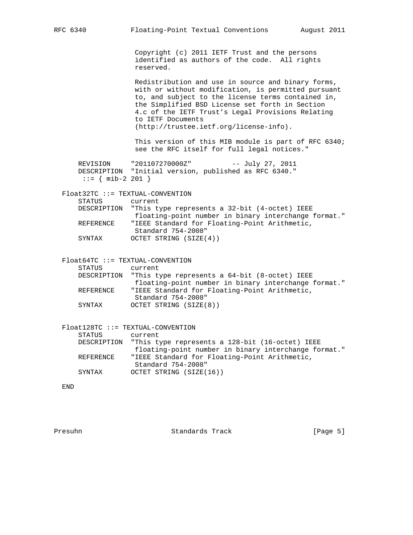Copyright (c) 2011 IETF Trust and the persons identified as authors of the code. All rights reserved.

 Redistribution and use in source and binary forms, with or without modification, is permitted pursuant to, and subject to the license terms contained in, the Simplified BSD License set forth in Section 4.c of the IETF Trust's Legal Provisions Relating to IETF Documents (http://trustee.ietf.org/license-info).

 This version of this MIB module is part of RFC 6340; see the RFC itself for full legal notices."

 REVISION "201107270000Z" -- July 27, 2011 DESCRIPTION "Initial version, published as RFC 6340."  $::=$  { mib-2 201 }

Float32TC ::= TEXTUAL-CONVENTION

| STATUS    | current                                                   |
|-----------|-----------------------------------------------------------|
|           | DESCRIPTION "This type represents a 32-bit (4-octet) IEEE |
|           | floating-point number in binary interchange format."      |
| REFERENCE | "IEEE Standard for Floating-Point Arithmetic,             |
|           | Standard 754-2008"                                        |
| SYNTAX    | OCTET STRING (SIZE(4))                                    |

 Float64TC ::= TEXTUAL-CONVENTION STATUS current DESCRIPTION "This type represents a 64-bit (8-octet) IEEE floating-point number in binary interchange format."

- REFERENCE "IEEE Standard for Floating-Point Arithmetic, Standard 754-2008"
	- SYNTAX OCTET STRING (SIZE(8))

|           | $F$ loat128TC ::= TEXTUAL-CONVENTION                        |
|-----------|-------------------------------------------------------------|
| STATUS    | current                                                     |
|           | DESCRIPTION "This type represents a 128-bit (16-octet) IEEE |
|           | floating-point number in binary interchange format."        |
| REFERENCE | "IEEE Standard for Floating-Point Arithmetic,               |
|           | Standard 754-2008"                                          |
| SYNTAX    | OCTET STRING (SIZE(16))                                     |

END

Presuhn Standards Track [Page 5]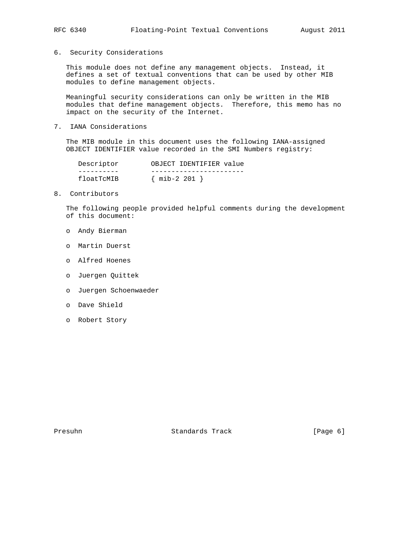6. Security Considerations

 This module does not define any management objects. Instead, it defines a set of textual conventions that can be used by other MIB modules to define management objects.

 Meaningful security considerations can only be written in the MIB modules that define management objects. Therefore, this memo has no impact on the security of the Internet.

7. IANA Considerations

 The MIB module in this document uses the following IANA-assigned OBJECT IDENTIFIER value recorded in the SMI Numbers registry:

| Descriptor | OBJECT IDENTIFIER value |
|------------|-------------------------|
|            |                         |
| floatTcMIB | $\{$ mib-2 201          |

8. Contributors

 The following people provided helpful comments during the development of this document:

- o Andy Bierman
- o Martin Duerst
- o Alfred Hoenes
- o Juergen Quittek
- o Juergen Schoenwaeder
- o Dave Shield
- o Robert Story

Presuhn Standards Track [Page 6]